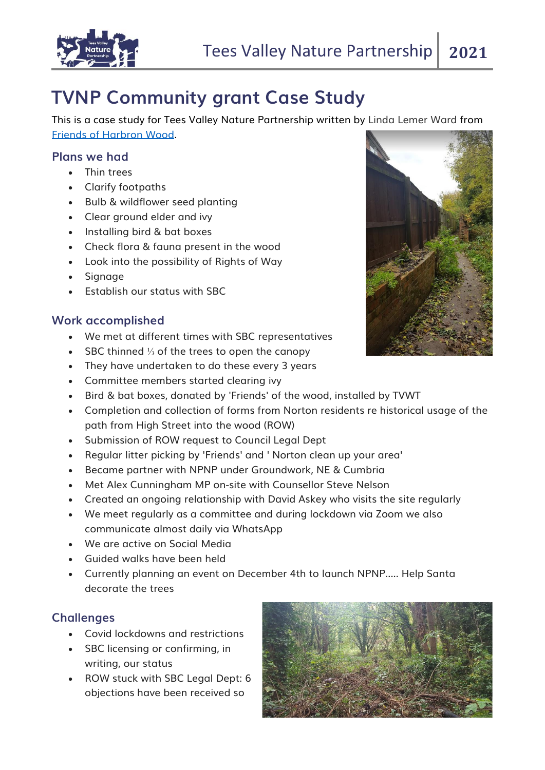

## **TVNP Community grant Case Study**

This is a case study for Tees Valley Nature Partnership written by Linda Lemer Ward from [Friends of Harbron Wood.](https://www.facebook.com/groups/346023529426543/)

## **Plans we had**

- Thin trees
- Clarify footpaths
- Bulb & wildflower seed planting
- Clear ground elder and ivy
- Installing bird & bat boxes
- Check flora & fauna present in the wood
- Look into the possibility of Rights of Way
- Signage
- Establish our status with SBC

## **Work accomplished**

- We met at different times with SBC representatives
- SBC thinned ⅓ of the trees to open the canopy
- They have undertaken to do these every 3 years
- Committee members started clearing ivy
- Bird & bat boxes, donated by 'Friends' of the wood, installed by TVWT
- Completion and collection of forms from Norton residents re historical usage of the path from High Street into the wood (ROW)
- Submission of ROW request to Council Legal Dept
- Regular litter picking by 'Friends' and ' Norton clean up your area'
- Became partner with NPNP under Groundwork, NE & Cumbria
- Met Alex Cunningham MP on-site with Counsellor Steve Nelson
- Created an ongoing relationship with David Askey who visits the site regularly
- We meet regularly as a committee and during lockdown via Zoom we also communicate almost daily via WhatsApp
- We are active on Social Media
- Guided walks have been held
- Currently planning an event on December 4th to launch NPNP..... Help Santa decorate the trees

## **Challenges**

- Covid lockdowns and restrictions
- SBC licensing or confirming, in writing, our status
- ROW stuck with SBC Legal Dept: 6 objections have been received so